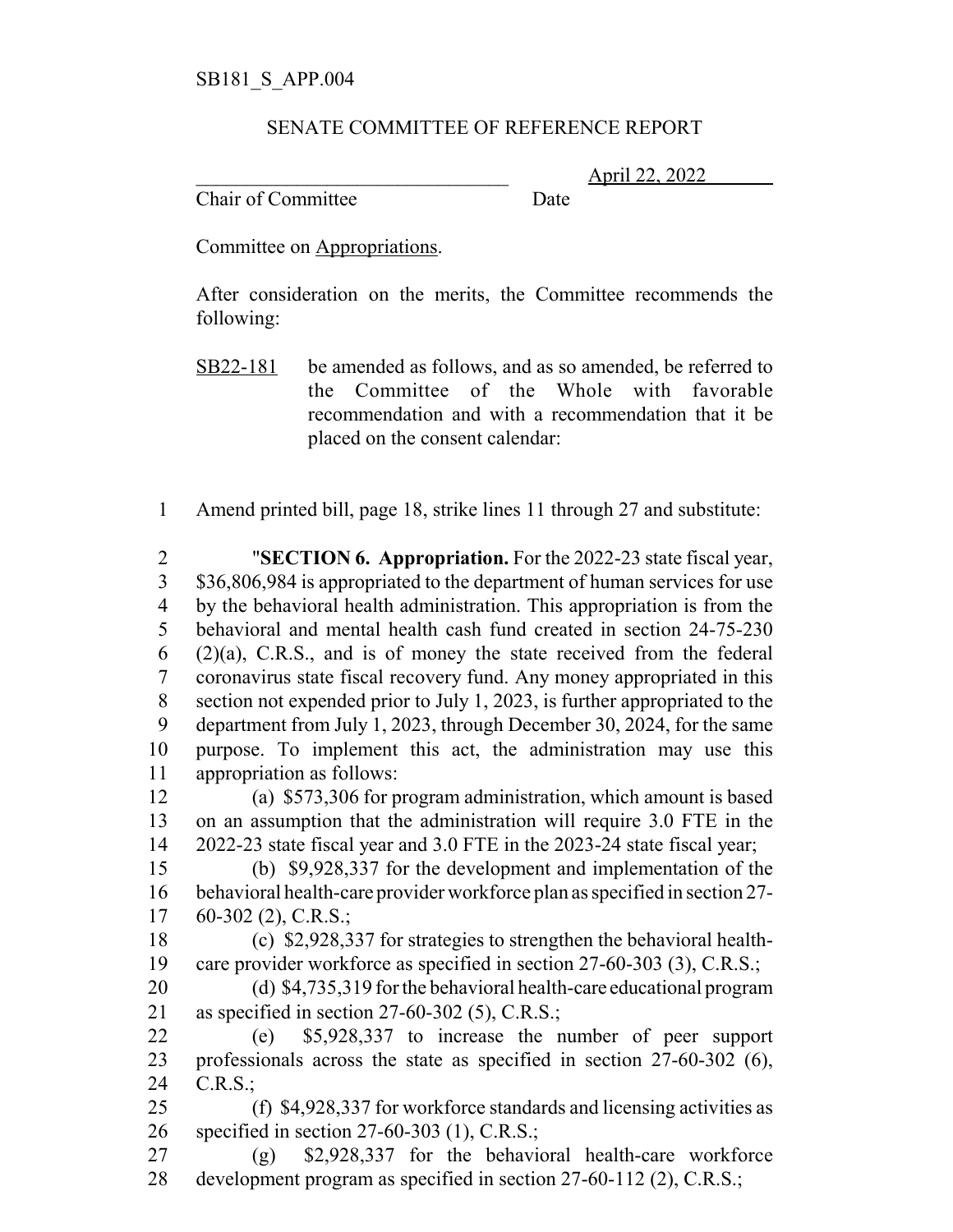## SENATE COMMITTEE OF REFERENCE REPORT

\_\_\_\_\_\_\_\_\_\_\_\_\_\_\_\_\_\_\_\_\_\_\_\_\_\_\_\_\_\_\_ April 22, 2022

Chair of Committee Date

Committee on Appropriations.

After consideration on the merits, the Committee recommends the following:

- SB22-181 be amended as follows, and as so amended, be referred to the Committee of the Whole with favorable recommendation and with a recommendation that it be placed on the consent calendar:
- Amend printed bill, page 18, strike lines 11 through 27 and substitute:

 "**SECTION 6. Appropriation.** For the 2022-23 state fiscal year, \$36,806,984 is appropriated to the department of human services for use by the behavioral health administration. This appropriation is from the behavioral and mental health cash fund created in section 24-75-230 (2)(a), C.R.S., and is of money the state received from the federal coronavirus state fiscal recovery fund. Any money appropriated in this section not expended prior to July 1, 2023, is further appropriated to the department from July 1, 2023, through December 30, 2024, for the same purpose. To implement this act, the administration may use this appropriation as follows:

 (a) \$573,306 for program administration, which amount is based on an assumption that the administration will require 3.0 FTE in the 2022-23 state fiscal year and 3.0 FTE in the 2023-24 state fiscal year;

 (b) \$9,928,337 for the development and implementation of the behavioral health-care provider workforce plan as specified in section 27- 60-302 (2), C.R.S.;

 (c) \$2,928,337 for strategies to strengthen the behavioral health-care provider workforce as specified in section 27-60-303 (3), C.R.S.;

 (d) \$4,735,319 for the behavioral health-care educational program as specified in section 27-60-302 (5), C.R.S.;

 (e) \$5,928,337 to increase the number of peer support professionals across the state as specified in section 27-60-302 (6), C.R.S.;

 (f) \$4,928,337 for workforce standards and licensing activities as specified in section 27-60-303 (1), C.R.S.;

 (g) \$2,928,337 for the behavioral health-care workforce development program as specified in section 27-60-112 (2), C.R.S.;